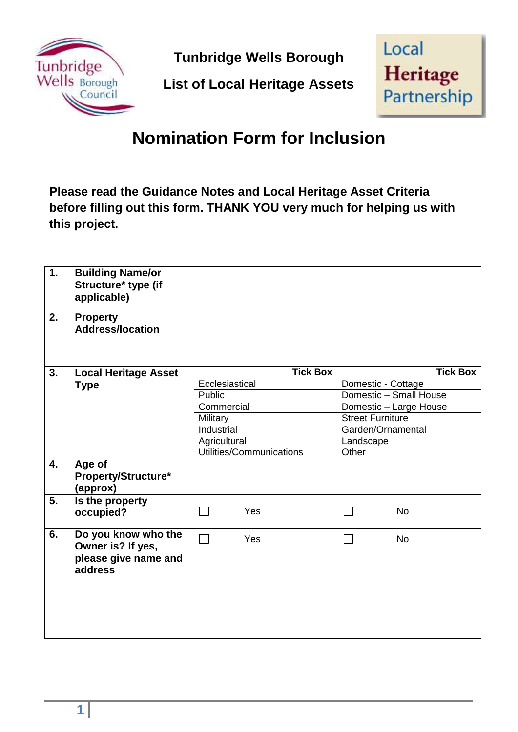

**Tunbridge Wells Borough** 

**List of Local Heritage Assets** 



## **Nomination Form for Inclusion**

 **Please read the Guidance Notes and Local Heritage Asset Criteria before filling out this form. THANK YOU very much for helping us with this project.** 

| 1. | <b>Building Name/or</b><br>Structure* type (if<br>applicable)               |                          |  |                         |                        |  |
|----|-----------------------------------------------------------------------------|--------------------------|--|-------------------------|------------------------|--|
| 2. | <b>Property</b><br><b>Address/location</b>                                  |                          |  |                         |                        |  |
| 3. | <b>Local Heritage Asset</b>                                                 | <b>Tick Box</b>          |  | <b>Tick Box</b>         |                        |  |
|    | <b>Type</b>                                                                 | Ecclesiastical           |  | Domestic - Cottage      |                        |  |
|    |                                                                             | Public                   |  |                         | Domestic - Small House |  |
|    |                                                                             | Commercial               |  |                         | Domestic - Large House |  |
|    |                                                                             | Military                 |  | <b>Street Furniture</b> |                        |  |
|    |                                                                             | Industrial               |  | Garden/Ornamental       |                        |  |
|    |                                                                             | Agricultural             |  | Landscape               |                        |  |
|    |                                                                             | Utilities/Communications |  | Other                   |                        |  |
| 4. | Age of<br>Property/Structure*<br>(approx)                                   |                          |  |                         |                        |  |
| 5. | Is the property<br>occupied?                                                | Yes                      |  |                         | <b>No</b>              |  |
| 6. | Do you know who the<br>Owner is? If yes,<br>please give name and<br>address | ┓<br>Yes                 |  |                         | <b>No</b>              |  |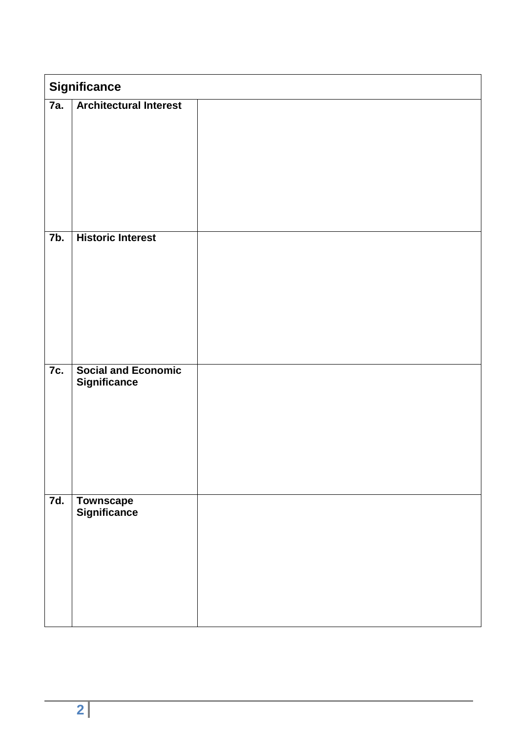| <b>Significance</b> |                                                   |  |  |  |
|---------------------|---------------------------------------------------|--|--|--|
| 7a.                 | <b>Architectural Interest</b>                     |  |  |  |
| 7 <sub>b</sub>      | <b>Historic Interest</b>                          |  |  |  |
| 7c.                 | <b>Social and Economic</b><br><b>Significance</b> |  |  |  |
| 7d.                 | <b>Townscape</b><br>Significance                  |  |  |  |